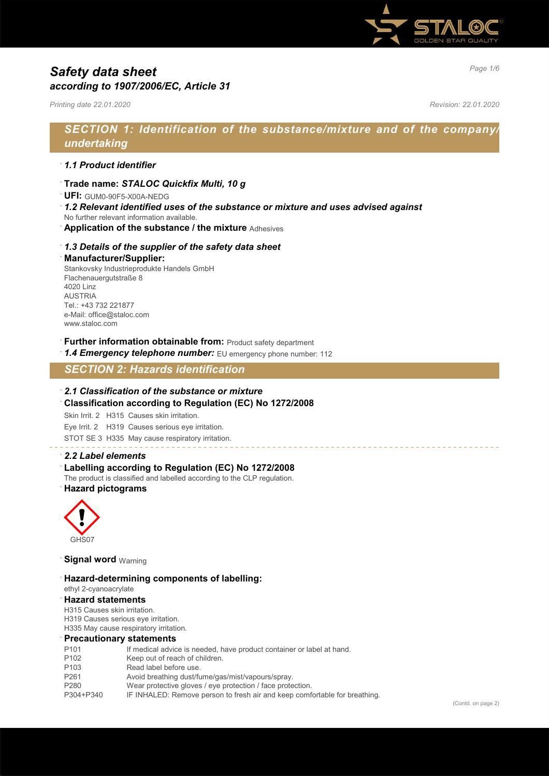

# *Page 1/6 Safety data sheet according to 1907/2006/EC, Article 31*

*Printing date 22.01.2020 Revision: 22.01.2020*

# *SECTION 1: Identification of the substance/mixture and of the company/ undertaking*

### · *1.1 Product identifier*

· **Trade name:** *STALOC Quickfix Multi, 10 g*

· **UFI:** GUM0-90F5-X00A-NEDG

- · *1.2 Relevant identified uses of the substance or mixture and uses advised against* No further relevant information available.
- · **Application of the substance / the mixture** Adhesives

### · *1.3 Details of the supplier of the safety data sheet* · **Manufacturer/Supplier:**

Stankovsky Industrieprodukte Handels GmbH Flachenauergutstraße 8 4020 Linz **ALISTRIA** Tel.: +43 732 221877 e-Mail: office@staloc.com www.staloc.com

**Further information obtainable from: Product safety department** 

1.4 **Emergency telephone number:** EU emergency phone number: 112

*SECTION 2: Hazards identification*

· *2.1 Classification of the substance or mixture* · **Classification according to Regulation (EC) No 1272/2008**

Skin Irrit. 2 H315 Causes skin irritation.

Eye Irrit. 2 H319 Causes serious eye irritation.

STOT SE 3 H335 May cause respiratory irritation.

## · *2.2 Label elements* · **Labelling according to Regulation (EC) No 1272/2008**

The product is classified and labelled according to the CLP regulation. · **Hazard pictograms**



**Signal word Warning** 

#### · **Hazard-determining components of labelling:**

#### ethyl 2-cyanoacrylate

· **Hazard statements**

H315 Causes skin irritation. H319 Causes serious eye irritation.

### H335 May cause respiratory irritation.

#### · **Precautionary statements**

| P <sub>101</sub> | If medical advice is needed, have product container or label at hand.      |
|------------------|----------------------------------------------------------------------------|
| P <sub>102</sub> | Keep out of reach of children.                                             |
| P <sub>103</sub> | Read label before use.                                                     |
| P <sub>261</sub> | Avoid breathing dust/fume/gas/mist/vapours/spray.                          |
| P280             | Wear protective gloves / eye protection / face protection.                 |
| P304+P340        | IF INHALED: Remove person to fresh air and keep comfortable for breathing. |
|                  |                                                                            |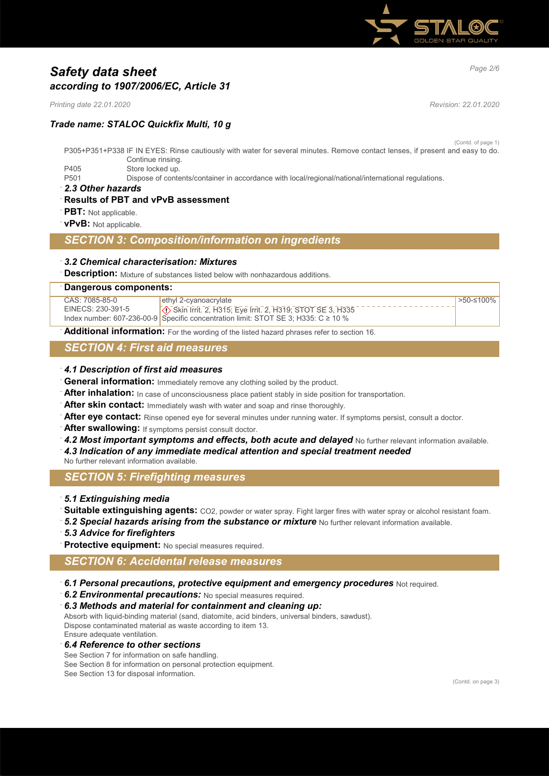

# *Page 2/6 Safety data sheet according to 1907/2006/EC, Article 31*

*Printing date 22.01.2020 Revision: 22.01.2020*

## *Trade name: STALOC Quickfix Multi, 10 g*

(Contd. of page 1)

- P305+P351+P338 IF IN EYES: Rinse cautiously with water for several minutes. Remove contact lenses, if present and easy to do. Continue rinsing. P405 Store locked up.
- P501 Dispose of contents/container in accordance with local/regional/national/international regulations.
- · *2.3 Other hazards*
- · **Results of PBT and vPvB assessment**
- **PBT:** Not applicable.
- · **vPvB:** Not applicable.

### *SECTION 3: Composition/information on ingredients*

- · *3.2 Chemical characterisation: Mixtures*
- **Description:** Mixture of substances listed below with nonhazardous additions.

#### · **Dangerous components:**

| CAS: 7085-85-0    | ethyl 2-cyanoacrylate                                                                   | >50-≤100% |
|-------------------|-----------------------------------------------------------------------------------------|-----------|
| EINECS: 230-391-5 | Skin Irrit. 2, H315; Eye Irrit. 2, H319; STOT SE 3, H335                                |           |
|                   | Index number: 607-236-00-9 Specific concentration limit: STOT SE 3; H335: C $\geq$ 10 % |           |

Additional information: For the wording of the listed hazard phrases refer to section 16.

## *SECTION 4: First aid measures*

#### · *4.1 Description of first aid measures*

- General information: Immediately remove any clothing soiled by the product.
- After inhalation: In case of unconsciousness place patient stably in side position for transportation.
- After skin contact: Immediately wash with water and soap and rinse thoroughly.
- After eye contact: Rinse opened eye for several minutes under running water. If symptoms persist, consult a doctor.
- After swallowing: If symptoms persist consult doctor.
- 4.2 Most *important symptoms and effects, both acute and delayed* No further relevant information available.
- · *4.3 Indication of any immediate medical attention and special treatment needed*
- No further relevant information available.

## *SECTION 5: Firefighting measures*

#### · *5.1 Extinguishing media*

- · **Suitable extinguishing agents:** CO2, powder or water spray. Fight larger fires with water spray or alcohol resistant foam.
- **5.2 Special hazards arising from the substance or mixture** No further relevant information available.
- · *5.3 Advice for firefighters*
- Protective equipment: No special measures required.

## *SECTION 6: Accidental release measures*

- · *6.1 Personal precautions, protective equipment and emergency procedures* Not required.
- · *6.2 Environmental precautions:* No special measures required.
- · *6.3 Methods and material for containment and cleaning up:*

Absorb with liquid-binding material (sand, diatomite, acid binders, universal binders, sawdust). Dispose contaminated material as waste according to item 13. Ensure adequate ventilation.

#### · *6.4 Reference to other sections*

See Section 7 for information on safe handling. See Section 8 for information on personal protection equipment. See Section 13 for disposal information.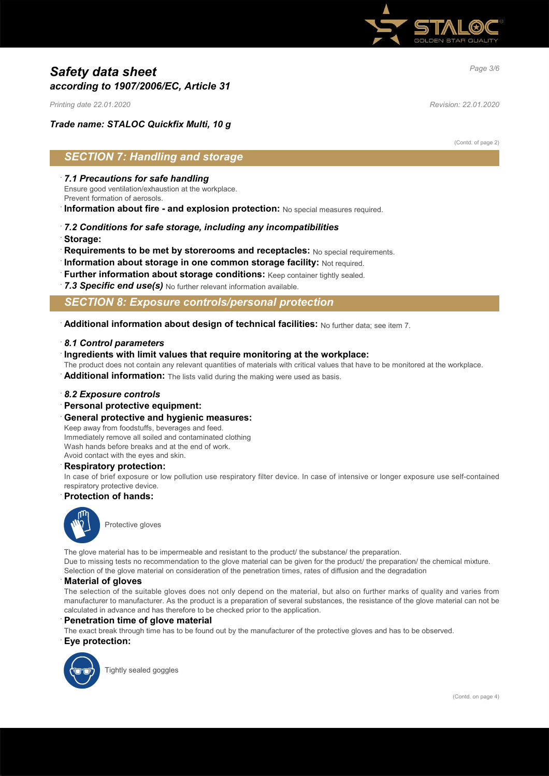

# *Page 3/6 Safety data sheet according to 1907/2006/EC, Article 31*

*Printing date 22.01.2020 Revision: 22.01.2020*

## *Trade name: STALOC Quickfix Multi, 10 g*

(Contd. of page 2)

## *SECTION 7: Handling and storage*

#### · *7.1 Precautions for safe handling*

Ensure good ventilation/exhaustion at the workplace.

Prevent formation of aerosols.

· **Information about fire - and explosion protection:** No special measures required.

# · *7.2 Conditions for safe storage, including any incompatibilities*

- · **Storage:**
- **Requirements to be met by storerooms and receptacles:** No special requirements.
- · **Information about storage in one common storage facility:** Not required.
- · **Further information about storage conditions:** Keep container tightly sealed.
- · *7.3 Specific end use(s)* No further relevant information available.

## *SECTION 8: Exposure controls/personal protection*

· **Additional information about design of technical facilities:** No further data; see item 7.

#### · *8.1 Control parameters*

#### · **Ingredients with limit values that require monitoring at the workplace:**

The product does not contain any relevant quantities of materials with critical values that have to be monitored at the workplace.

Additional information: The lists valid during the making were used as basis.

#### · *8.2 Exposure controls*

· **Personal protective equipment:**

#### · **General protective and hygienic measures:**

Keep away from foodstuffs, beverages and feed. Immediately remove all soiled and contaminated clothing Wash hands before breaks and at the end of work. Avoid contact with the eyes and skin.

#### · **Respiratory protection:**

In case of brief exposure or low pollution use respiratory filter device. In case of intensive or longer exposure use self-contained respiratory protective device.

#### · **Protection of hands:**



Protective gloves

The glove material has to be impermeable and resistant to the product/ the substance/ the preparation. Due to missing tests no recommendation to the glove material can be given for the product/ the preparation/ the chemical mixture. Selection of the glove material on consideration of the penetration times, rates of diffusion and the degradation

#### · **Material of gloves**

The selection of the suitable gloves does not only depend on the material, but also on further marks of quality and varies from manufacturer to manufacturer. As the product is a preparation of several substances, the resistance of the glove material can not be calculated in advance and has therefore to be checked prior to the application.

#### **Penetration time of glove material**

The exact break through time has to be found out by the manufacturer of the protective gloves and has to be observed.

· **Eye protection:**



Tightly sealed goggles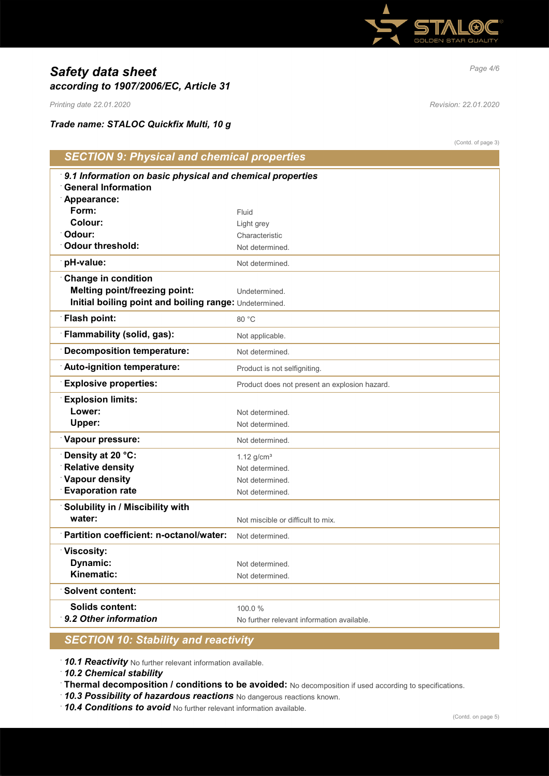

# *Page 4/6 Safety data sheet according to 1907/2006/EC, Article 31*

*Printing date 22.01.2020 Revision: 22.01.2020*

*Trade name: STALOC Quickfix Multi, 10 g*

|                                                           | (Contd. of page 3)                            |
|-----------------------------------------------------------|-----------------------------------------------|
| <b>SECTION 9: Physical and chemical properties</b>        |                                               |
| 9.1 Information on basic physical and chemical properties |                                               |
| <b>General Information</b>                                |                                               |
| Appearance:                                               |                                               |
| Form:                                                     | Fluid                                         |
| Colour:                                                   | Light grey                                    |
| Odour:                                                    | Characteristic                                |
| <b>Odour threshold:</b>                                   | Not determined.                               |
| pH-value:                                                 | Not determined.                               |
| <b>Change in condition</b>                                |                                               |
| <b>Melting point/freezing point:</b>                      | Undetermined.                                 |
| Initial boiling point and boiling range: Undetermined.    |                                               |
| <b>Flash point:</b>                                       | 80 °C                                         |
| Flammability (solid, gas):                                | Not applicable.                               |
| <b>Decomposition temperature:</b>                         | Not determined.                               |
| Auto-ignition temperature:                                | Product is not selfigniting.                  |
| <b>Explosive properties:</b>                              | Product does not present an explosion hazard. |
| <b>Explosion limits:</b>                                  |                                               |
| Lower:                                                    | Not determined.                               |
| Upper:                                                    | Not determined.                               |
| Vapour pressure:                                          | Not determined.                               |
| Density at 20 °C:                                         | $1.12$ g/cm <sup>3</sup>                      |
| <b>Relative density</b>                                   | Not determined.                               |
| Vapour density                                            | Not determined.                               |
| <b>Evaporation rate</b>                                   | Not determined.                               |
| Solubility in / Miscibility with                          |                                               |
| water:                                                    | Not miscible or difficult to mix.             |
| Partition coefficient: n-octanol/water:                   | Not determined.                               |
| Viscosity:                                                |                                               |
| Dynamic:                                                  | Not determined.                               |
| Kinematic:                                                | Not determined.                               |
| <b>Solvent content:</b>                                   |                                               |
| <b>Solids content:</b>                                    | 100.0%                                        |
| 9.2 Other information                                     | No further relevant information available.    |
|                                                           |                                               |

## *SECTION 10: Stability and reactivity*

· *10.1 Reactivity* No further relevant information available.

· *10.2 Chemical stability*

- · **Thermal decomposition / conditions to be avoided:** No decomposition if used according to specifications.
- · *10.3 Possibility of hazardous reactions* No dangerous reactions known.
- · *10.4 Conditions to avoid* No further relevant information available.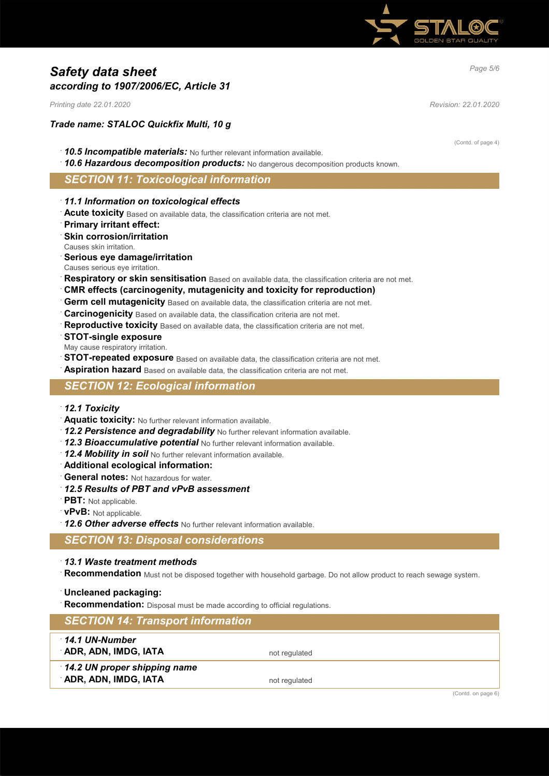

# *Page 5/6 Safety data sheet according to 1907/2006/EC, Article 31*

*Printing date 22.01.2020 Revision: 22.01.2020*

### *Trade name: STALOC Quickfix Multi, 10 g*

- · *10.5 Incompatible materials:* No further relevant information available.
- · *10.6 Hazardous decomposition products:* No dangerous decomposition products known.

#### *SECTION 11: Toxicological information*

- · *11.1 Information on toxicological effects*
- · **Acute toxicity** Based on available data, the classification criteria are not met.
- · **Primary irritant effect:**
- · **Skin corrosion/irritation**
- Causes skin irritation.
- · **Serious eye damage/irritation**
- Causes serious eye irritation.
- **Respiratory or skin sensitisation** Based on available data, the classification criteria are not met.
- · **CMR effects (carcinogenity, mutagenicity and toxicity for reproduction)**
- **Germ cell mutagenicity** Based on available data, the classification criteria are not met.
- · **Carcinogenicity** Based on available data, the classification criteria are not met.
- **Reproductive toxicity** Based on available data, the classification criteria are not met.
- · **STOT-single exposure**
- May cause respiratory irritation.
- **STOT-repeated exposure** Based on available data, the classification criteria are not met.
- **Aspiration hazard** Based on available data, the classification criteria are not met.

### *SECTION 12: Ecological information*

- · *12.1 Toxicity*
- · **Aquatic toxicity:** No further relevant information available.
- · *12.2 Persistence and degradability* No further relevant information available.
- · *12.3 Bioaccumulative potential* No further relevant information available.
- · *12.4 Mobility in soil* No further relevant information available.
- · **Additional ecological information:**
- · **General notes:** Not hazardous for water.
- · *12.5 Results of PBT and vPvB assessment*
- · **PBT:** Not applicable.
- · **vPvB:** Not applicable.
- · *12.6 Other adverse effects* No further relevant information available.

*SECTION 13: Disposal considerations*

### · *13.1 Waste treatment methods*

Recommendation Must not be disposed together with household garbage. Do not allow product to reach sewage system.

#### · **Uncleaned packaging:**

· **Recommendation:** Disposal must be made according to official regulations.

| <b>SECTION 14: Transport information</b>             |                    |
|------------------------------------------------------|--------------------|
| 14.1 UN-Number<br>ADR, ADN, IMDG, IATA               | not regulated      |
| 14.2 UN proper shipping name<br>ADR, ADN, IMDG, IATA | not regulated      |
|                                                      | (Contd. on page 6) |

(Contd. of page 4)